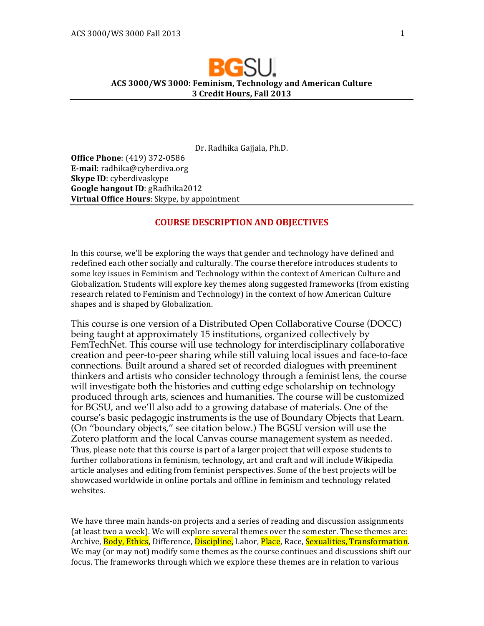# **ACS 3000/WS 3000: Feminism, Technology and American Culture 3 Credit Hours, Fall 2013**

Dr. Radhika Gajjala, Ph.D.

**Office Phone**: (419) 372-0586 **E-mail**: radhika@cyberdiva.org **Skype ID**: cyberdivaskype **Google hangout ID: gRadhika2012 Virtual Office Hours**: Skype, by appointment

# **COURSE DESCRIPTION AND OBJECTIVES**

In this course, we'll be exploring the ways that gender and technology have defined and redefined each other socially and culturally. The course therefore introduces students to some key issues in Feminism and Technology within the context of American Culture and Globalization. Students will explore key themes along suggested frameworks (from existing research related to Feminism and Technology) in the context of how American Culture shapes and is shaped by Globalization.

This course is one version of a Distributed Open Collaborative Course (DOCC) being taught at approximately 15 institutions, organized collectively by FemTechNet. This course will use technology for interdisciplinary collaborative creation and peer-to-peer sharing while still valuing local issues and face-to-face connections. Built around a shared set of recorded dialogues with preeminent thinkers and artists who consider technology through a feminist lens, the course will investigate both the histories and cutting edge scholarship on technology produced through arts, sciences and humanities. The course will be customized for BGSU, and we'll also add to a growing database of materials. One of the course's basic pedagogic instruments is the use of Boundary Objects that Learn. (On "boundary objects," see citation below.) The BGSU version will use the Zotero platform and the local Canvas course management system as needed. Thus, please note that this course is part of a larger project that will expose students to further collaborations in feminism, technology, art and craft and will include Wikipedia article analyses and editing from feminist perspectives. Some of the best projects will be showcased worldwide in online portals and offline in feminism and technology related websites. 

We have three main hands-on projects and a series of reading and discussion assignments (at least two a week). We will explore several themes over the semester. These themes are: Archive, <mark>Body, Ethics</mark>, Difference, <mark>Discipline,</mark> Labor, <mark>Place</mark>, Race, Sexualities, Transformation. We may (or may not) modify some themes as the course continues and discussions shift our focus. The frameworks through which we explore these themes are in relation to various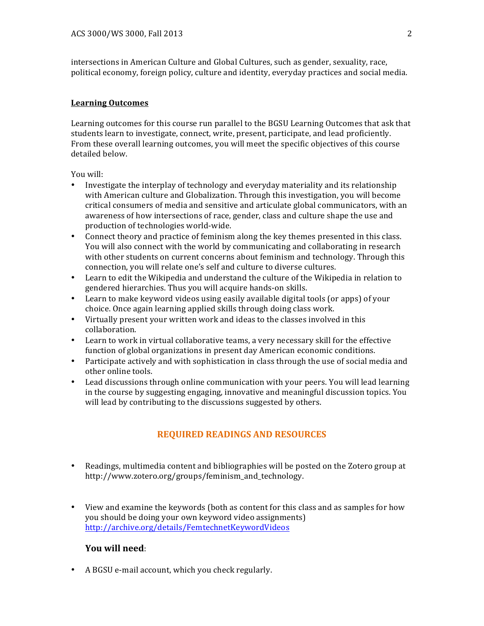intersections in American Culture and Global Cultures, such as gender, sexuality, race, political economy, foreign policy, culture and identity, everyday practices and social media.

# **Learning Outcomes**

Learning outcomes for this course run parallel to the BGSU Learning Outcomes that ask that students learn to investigate, connect, write, present, participate, and lead proficiently. From these overall learning outcomes, you will meet the specific objectives of this course detailed helow.

You will:

- Investigate the interplay of technology and everyday materiality and its relationship with American culture and Globalization. Through this investigation, you will become critical consumers of media and sensitive and articulate global communicators, with an awareness of how intersections of race, gender, class and culture shape the use and production of technologies world-wide.
- Connect theory and practice of feminism along the key themes presented in this class. You will also connect with the world by communicating and collaborating in research with other students on current concerns about feminism and technology. Through this connection, you will relate one's self and culture to diverse cultures.
- Learn to edit the Wikipedia and understand the culture of the Wikipedia in relation to gendered hierarchies. Thus you will acquire hands-on skills.
- Learn to make keyword videos using easily available digital tools (or apps) of your choice. Once again learning applied skills through doing class work.
- Virtually present your written work and ideas to the classes involved in this collaboration.
- Learn to work in virtual collaborative teams, a very necessary skill for the effective function of global organizations in present day American economic conditions.
- Participate actively and with sophistication in class through the use of social media and other online tools.
- Lead discussions through online communication with your peers. You will lead learning in the course by suggesting engaging, innovative and meaningful discussion topics. You will lead by contributing to the discussions suggested by others.

# **REQUIRED READINGS AND RESOURCES**

- Readings, multimedia content and bibliographies will be posted on the Zotero group at http://www.zotero.org/groups/feminism\_and\_technology.
- View and examine the keywords (both as content for this class and as samples for how you should be doing your own keyword video assignments) http://archive.org/details/FemtechnetKeywordVideos

# **You will need:**

• A BGSU e-mail account, which you check regularly.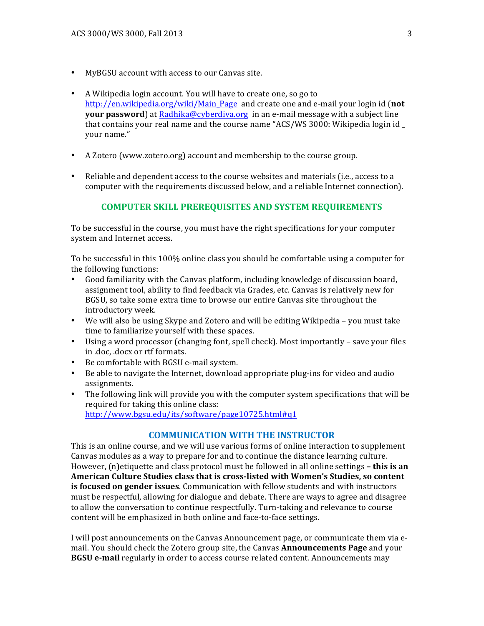- MyBGSU account with access to our Canvas site.
- A Wikipedia login account. You will have to create one, so go to http://en.wikipedia.org/wiki/Main\_Page and create one and e-mail your login id (not **your password**) at Radhika@cyberdiva.org in an e-mail message with a subject line that contains your real name and the course name "ACS/WS 3000: Wikipedia login id your name."
- A Zotero (www.zotero.org) account and membership to the course group.
- Reliable and dependent access to the course websites and materials (i.e., access to a computer with the requirements discussed below, and a reliable Internet connection).

# **COMPUTER SKILL PREREQUISITES AND SYSTEM REQUIREMENTS**

To be successful in the course, you must have the right specifications for your computer system and Internet access.

To be successful in this 100% online class you should be comfortable using a computer for the following functions:

- Good familiarity with the Canvas platform, including knowledge of discussion board, assignment tool, ability to find feedback via Grades, etc. Canvas is relatively new for BGSU, so take some extra time to browse our entire Canvas site throughout the introductory week.
- We will also be using Skype and Zotero and will be editing Wikipedia you must take time to familiarize yourself with these spaces.
- Using a word processor (changing font, spell check). Most importantly save your files in .doc, .docx or rtf formats.
- Be comfortable with BGSU e-mail system.
- Be able to navigate the Internet, download appropriate plug-ins for video and audio assignments.
- The following link will provide you with the computer system specifications that will be required for taking this online class: http://www.bgsu.edu/its/software/page10725.html#q1

# **COMMUNICATION WITH THE INSTRUCTOR**

This is an online course, and we will use various forms of online interaction to supplement Canvas modules as a way to prepare for and to continue the distance learning culture. However, (n)etiquette and class protocol must be followed in all online settings **- this is an** American Culture Studies class that is cross-listed with Women's Studies, so content is focused on gender issues. Communication with fellow students and with instructors must be respectful, allowing for dialogue and debate. There are ways to agree and disagree to allow the conversation to continue respectfully. Turn-taking and relevance to course content will be emphasized in both online and face-to-face settings.

I will post announcements on the Canvas Announcement page, or communicate them via email. You should check the Zotero group site, the Canvas **Announcements Page** and your **BGSU e-mail** regularly in order to access course related content. Announcements may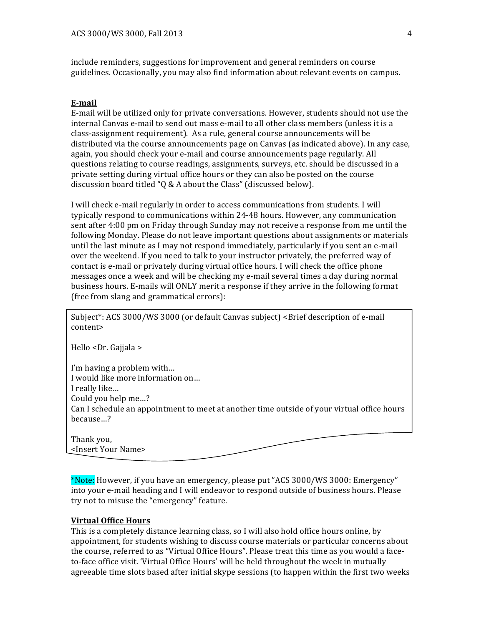include reminders, suggestions for improvement and general reminders on course guidelines. Occasionally, you may also find information about relevant events on campus.

#### **E-mail**

E-mail will be utilized only for private conversations. However, students should not use the internal Canvas e-mail to send out mass e-mail to all other class members (unless it is a class-assignment requirement). As a rule, general course announcements will be distributed via the course announcements page on Canvas (as indicated above). In any case, again, you should check your e-mail and course announcements page regularly. All questions relating to course readings, assignments, surveys, etc. should be discussed in a private setting during virtual office hours or they can also be posted on the course discussion board titled "Q & A about the Class" (discussed below).

I will check e-mail regularly in order to access communications from students. I will typically respond to communications within 24-48 hours. However, any communication sent after 4:00 pm on Friday through Sunday may not receive a response from me until the following Monday. Please do not leave important questions about assignments or materials until the last minute as I may not respond immediately, particularly if you sent an e-mail over the weekend. If you need to talk to your instructor privately, the preferred way of contact is e-mail or privately during virtual office hours. I will check the office phone messages once a week and will be checking my e-mail several times a day during normal business hours. E-mails will ONLY merit a response if they arrive in the following format (free from slang and grammatical errors):

Subject\*: ACS 3000/WS 3000 (or default Canvas subject) <Brief description of e-mail content>

Hello <Dr. Gajjala >

I'm having a problem with... I would like more information on... I really like... Could you help me...? Can I schedule an appointment to meet at another time outside of your virtual office hours because…?

Thank you, <Insert Your Name>

\*Note: However, if you have an emergency, please put "ACS 3000/WS 3000: Emergency" into your e-mail heading and I will endeavor to respond outside of business hours. Please try not to misuse the "emergency" feature.

#### **Virtual Office Hours**

This is a completely distance learning class, so I will also hold office hours online, by appointment, for students wishing to discuss course materials or particular concerns about the course, referred to as "Virtual Office Hours". Please treat this time as you would a faceto-face office visit. 'Virtual Office Hours' will be held throughout the week in mutually agreeable time slots based after initial skype sessions (to happen within the first two weeks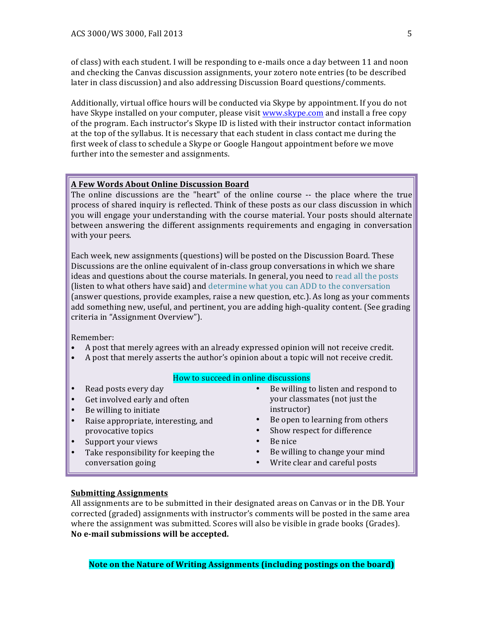of class) with each student. I will be responding to e-mails once a day between 11 and noon and checking the Canvas discussion assignments, your zotero note entries (to be described later in class discussion) and also addressing Discussion Board questions/comments.

Additionally, virtual office hours will be conducted via Skype by appointment. If you do not have Skype installed on your computer, please visit www.skype.com and install a free copy of the program. Each instructor's Skype ID is listed with their instructor contact information at the top of the syllabus. It is necessary that each student in class contact me during the first week of class to schedule a Skype or Google Hangout appointment before we move further into the semester and assignments.

#### **A Few Words About Online Discussion Board**

The online discussions are the "heart" of the online course  $-$  the place where the true process of shared inquiry is reflected. Think of these posts as our class discussion in which you will engage your understanding with the course material. Your posts should alternate between answering the different assignments requirements and engaging in conversation with your peers.

Each week, new assignments (questions) will be posted on the Discussion Board. These Discussions are the online equivalent of in-class group conversations in which we share ideas and questions about the course materials. In general, you need to read all the posts (listen to what others have said) and determine what you can ADD to the conversation (answer questions, provide examples, raise a new question, etc.). As long as your comments add something new, useful, and pertinent, you are adding high-quality content. (See grading criteria in "Assignment Overview").

Remember: 

- A post that merely agrees with an already expressed opinion will not receive credit.
- A post that merely asserts the author's opinion about a topic will not receive credit.

# How to succeed in online discussions

- Read posts every day Get involved early and often
- Be willing to initiate
- Raise appropriate, interesting, and provocative topics
- Support your views
- Take responsibility for keeping the conversation going
- Be willing to listen and respond to your classmates (not just the instructor)
- Be open to learning from others
- Show respect for difference
- Be nice
- Be willing to change your mind
	- Write clear and careful posts

#### **Submitting Assignments**

All assignments are to be submitted in their designated areas on Canvas or in the DB. Your corrected (graded) assignments with instructor's comments will be posted in the same area where the assignment was submitted. Scores will also be visible in grade books (Grades). **No e-mail submissions will be accepted.**

**Note on the Nature of Writing Assignments (including postings on the board)**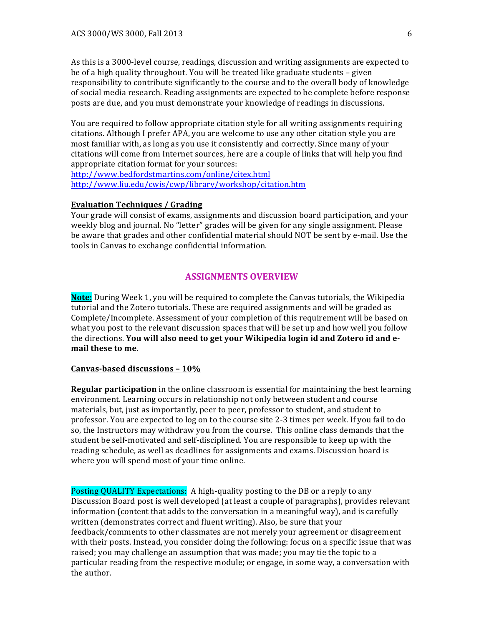As this is a 3000-level course, readings, discussion and writing assignments are expected to be of a high quality throughout. You will be treated like graduate students – given responsibility to contribute significantly to the course and to the overall body of knowledge of social media research. Reading assignments are expected to be complete before response posts are due, and you must demonstrate your knowledge of readings in discussions.

You are required to follow appropriate citation style for all writing assignments requiring citations. Although I prefer APA, you are welcome to use any other citation style you are most familiar with, as long as you use it consistently and correctly. Since many of your citations will come from Internet sources, here are a couple of links that will help you find appropriate citation format for your sources:

http://www.bedfordstmartins.com/online/citex.html http://www.liu.edu/cwis/cwp/library/workshop/citation.htm 

#### **Evaluation Techniques / Grading**

Your grade will consist of exams, assignments and discussion board participation, and your weekly blog and journal. No "letter" grades will be given for any single assignment. Please be aware that grades and other confidential material should NOT be sent by e-mail. Use the tools in Canvas to exchange confidential information.

# **ASSIGNMENTS OVERVIEW**

**Note:** During Week 1, you will be required to complete the Canvas tutorials, the Wikipedia tutorial and the Zotero tutorials. These are required assignments and will be graded as Complete/Incomplete. Assessment of your completion of this requirement will be based on what you post to the relevant discussion spaces that will be set up and how well you follow the directions. You will also need to get your Wikipedia login id and Zotero id and e**mail these to me.**

# **Canvas-based discussions – 10%**

**Regular participation** in the online classroom is essential for maintaining the best learning environment. Learning occurs in relationship not only between student and course materials, but, just as importantly, peer to peer, professor to student, and student to professor. You are expected to log on to the course site 2-3 times per week. If you fail to do so, the Instructors may withdraw you from the course. This online class demands that the student be self-motivated and self-disciplined. You are responsible to keep up with the reading schedule, as well as deadlines for assignments and exams. Discussion board is where you will spend most of your time online.

Posting QUALITY Expectations: A high-quality posting to the DB or a reply to any Discussion Board post is well developed (at least a couple of paragraphs), provides relevant information (content that adds to the conversation in a meaningful way), and is carefully written (demonstrates correct and fluent writing). Also, be sure that your feedback/comments to other classmates are not merely your agreement or disagreement with their posts. Instead, you consider doing the following: focus on a specific issue that was raised; you may challenge an assumption that was made; you may tie the topic to a particular reading from the respective module; or engage, in some way, a conversation with the author.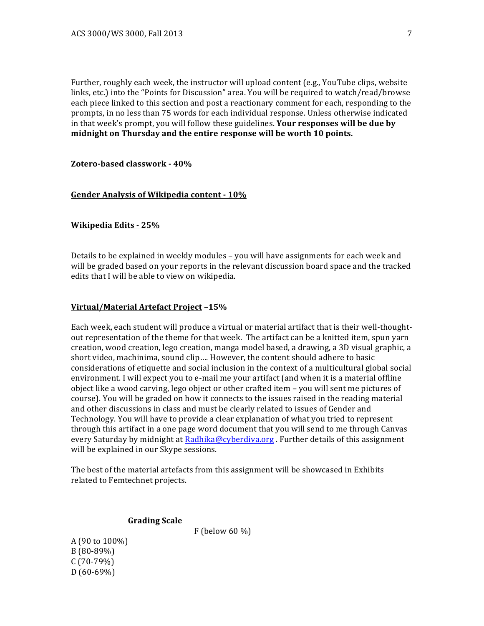Further, roughly each week, the instructor will upload content (e.g., YouTube clips, website links, etc.) into the "Points for Discussion" area. You will be required to watch/read/browse each piece linked to this section and post a reactionary comment for each, responding to the prompts, in no less than 75 words for each individual response. Unless otherwise indicated in that week's prompt, you will follow these guidelines. **Your responses will be due by** midnight on Thursday and the entire response will be worth 10 points.

#### **Zotero-based classwork - 40%**

#### Gender Analysis of Wikipedia content -  $10\%$

#### **Wikipedia Edits - 25%**

Details to be explained in weekly modules – you will have assignments for each week and will be graded based on your reports in the relevant discussion board space and the tracked edits that I will be able to view on wikipedia.

#### **Virtual/Material Artefact Project –15%**

Each week, each student will produce a virtual or material artifact that is their well-thoughtout representation of the theme for that week. The artifact can be a knitted item, spun yarn creation, wood creation, lego creation, manga model based, a drawing, a 3D visual graphic, a short video, machinima, sound clip.... However, the content should adhere to basic considerations of etiquette and social inclusion in the context of a multicultural global social environment. I will expect you to e-mail me your artifact (and when it is a material offline object like a wood carving, lego object or other crafted item – you will sent me pictures of course). You will be graded on how it connects to the issues raised in the reading material and other discussions in class and must be clearly related to issues of Gender and Technology. You will have to provide a clear explanation of what you tried to represent through this artifact in a one page word document that you will send to me through Canvas every Saturday by midnight at Radhika@cyberdiva.org . Further details of this assignment will be explained in our Skype sessions.

The best of the material artefacts from this assignment will be showcased in Exhibits related to Femtechnet projects.

#### **Grading Scale**

F (below 60  $\%$ )

A (90 to 100%) B (80-89%)  $C(70-79%)$  $D(60-69%)$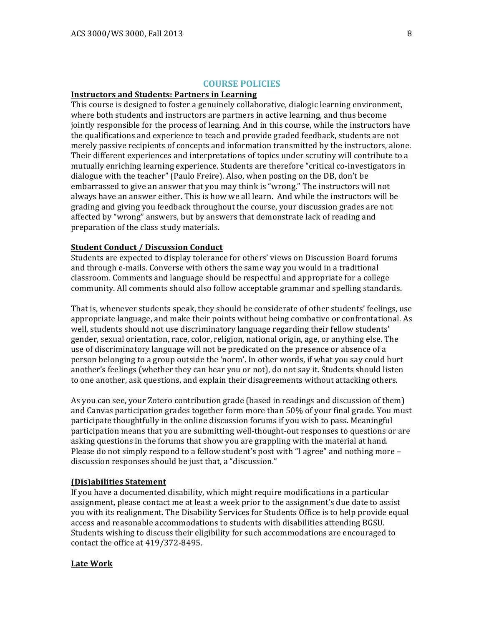## **COURSE POLICIES**

#### **Instructors and Students: Partners in Learning**

This course is designed to foster a genuinely collaborative, dialogic learning environment, where both students and instructors are partners in active learning, and thus become jointly responsible for the process of learning. And in this course, while the instructors have the qualifications and experience to teach and provide graded feedback, students are not merely passive recipients of concepts and information transmitted by the instructors, alone. Their different experiences and interpretations of topics under scrutiny will contribute to a mutually enriching learning experience. Students are therefore "critical co-investigators in dialogue with the teacher" (Paulo Freire). Also, when posting on the DB, don't be embarrassed to give an answer that you may think is "wrong." The instructors will not always have an answer either. This is how we all learn. And while the instructors will be grading and giving you feedback throughout the course, your discussion grades are not affected by "wrong" answers, but by answers that demonstrate lack of reading and preparation of the class study materials.

# **Student Conduct / Discussion Conduct**

Students are expected to display tolerance for others' views on Discussion Board forums and through e-mails. Converse with others the same way you would in a traditional classroom. Comments and language should be respectful and appropriate for a college community. All comments should also follow acceptable grammar and spelling standards.

That is, whenever students speak, they should be considerate of other students' feelings, use appropriate language, and make their points without being combative or confrontational. As well, students should not use discriminatory language regarding their fellow students' gender, sexual orientation, race, color, religion, national origin, age, or anything else. The use of discriminatory language will not be predicated on the presence or absence of a person belonging to a group outside the 'norm'. In other words, if what you say could hurt another's feelings (whether they can hear you or not), do not say it. Students should listen to one another, ask questions, and explain their disagreements without attacking others.

As you can see, your Zotero contribution grade (based in readings and discussion of them) and Canvas participation grades together form more than  $50\%$  of your final grade. You must participate thoughtfully in the online discussion forums if you wish to pass. Meaningful participation means that you are submitting well-thought-out responses to questions or are asking questions in the forums that show you are grappling with the material at hand. Please do not simply respond to a fellow student's post with "I agree" and nothing more  $$ discussion responses should be just that, a "discussion."

#### **(Dis)abilities Statement**

If you have a documented disability, which might require modifications in a particular assignment, please contact me at least a week prior to the assignment's due date to assist you with its realignment. The Disability Services for Students Office is to help provide equal access and reasonable accommodations to students with disabilities attending BGSU. Students wishing to discuss their eligibility for such accommodations are encouraged to contact the office at  $419/372-8495$ .

#### **Late Work**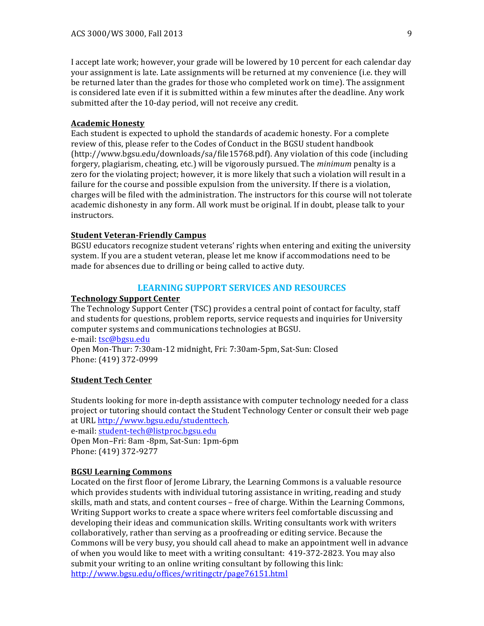I accept late work; however, your grade will be lowered by 10 percent for each calendar day your assignment is late. Late assignments will be returned at my convenience (i.e. they will be returned later than the grades for those who completed work on time). The assignment is considered late even if it is submitted within a few minutes after the deadline. Any work submitted after the 10-day period, will not receive any credit.

# **Academic Honesty**

Each student is expected to uphold the standards of academic honesty. For a complete review of this, please refer to the Codes of Conduct in the BGSU student handbook  $(\text{http://www.bgsu.edu/downloads/sa/file15768.pdf})$ . Any violation of this code (including forgery, plagiarism, cheating, etc.) will be vigorously pursued. The *minimum* penalty is a zero for the violating project; however, it is more likely that such a violation will result in a failure for the course and possible expulsion from the university. If there is a violation, charges will be filed with the administration. The instructors for this course will not tolerate academic dishonesty in any form. All work must be original. If in doubt, please talk to your instructors.

#### **Student Veteran-Friendly Campus**

BGSU educators recognize student veterans' rights when entering and exiting the university system. If you are a student veteran, please let me know if accommodations need to be made for absences due to drilling or being called to active duty.

# **LEARNING SUPPORT SERVICES AND RESOURCES**

#### **Technology Support Center**

The Technology Support Center (TSC) provides a central point of contact for faculty, staff and students for questions, problem reports, service requests and inquiries for University computer systems and communications technologies at BGSU. e-mail: tsc@bgsu.edu Open Mon-Thur: 7:30am-12 midnight, Fri: 7:30am-5pm, Sat-Sun: Closed Phone: (419) 372-0999

## **Student Tech Center**

Students looking for more in-depth assistance with computer technology needed for a class project or tutoring should contact the Student Technology Center or consult their web page at URL http://www.bgsu.edu/studenttech.

e-mail: student-tech@listproc.bgsu.edu Open Mon–Fri: 8am -8pm, Sat-Sun: 1pm-6pm Phone: (419) 372-9277

# **BGSU Learning Commons**

Located on the first floor of Jerome Library, the Learning Commons is a valuable resource which provides students with individual tutoring assistance in writing, reading and study skills, math and stats, and content courses – free of charge. Within the Learning Commons, Writing Support works to create a space where writers feel comfortable discussing and developing their ideas and communication skills. Writing consultants work with writers collaboratively, rather than serving as a proofreading or editing service. Because the Commons will be very busy, you should call ahead to make an appointment well in advance of when you would like to meet with a writing consultant: 419-372-2823. You may also submit your writing to an online writing consultant by following this link: http://www.bgsu.edu/offices/writingctr/page76151.html